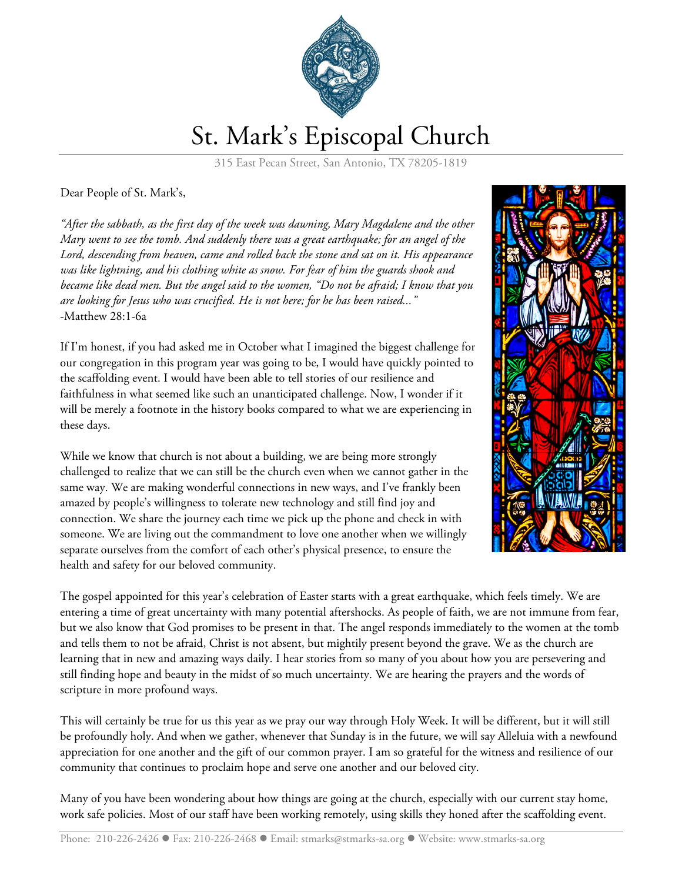

## St. Mark's Episcopal Church

315 East Pecan Street, San Antonio, TX 78205-1819

Dear People of St. Mark's,

*"After the sabbath, as the first day of the week was dawning, Mary Magdalene and the other Mary went to see the tomb. And suddenly there was a great earthquake; for an angel of the Lord, descending from heaven, came and rolled back the stone and sat on it. His appearance was like lightning, and his clothing white as snow. For fear of him the guards shook and became like dead men. But the angel said to the women, "Do not be afraid; I know that you are looking for Jesus who was crucified. He is not here; for he has been raised..."* -Matthew 28:1-6a

If I'm honest, if you had asked me in October what I imagined the biggest challenge for our congregation in this program year was going to be, I would have quickly pointed to the scaffolding event. I would have been able to tell stories of our resilience and faithfulness in what seemed like such an unanticipated challenge. Now, I wonder if it will be merely a footnote in the history books compared to what we are experiencing in these days.

While we know that church is not about a building, we are being more strongly challenged to realize that we can still be the church even when we cannot gather in the same way. We are making wonderful connections in new ways, and I've frankly been amazed by people's willingness to tolerate new technology and still find joy and connection. We share the journey each time we pick up the phone and check in with someone. We are living out the commandment to love one another when we willingly separate ourselves from the comfort of each other's physical presence, to ensure the health and safety for our beloved community.



The gospel appointed for this year's celebration of Easter starts with a great earthquake, which feels timely. We are entering a time of great uncertainty with many potential aftershocks. As people of faith, we are not immune from fear, but we also know that God promises to be present in that. The angel responds immediately to the women at the tomb and tells them to not be afraid, Christ is not absent, but mightily present beyond the grave. We as the church are learning that in new and amazing ways daily. I hear stories from so many of you about how you are persevering and still finding hope and beauty in the midst of so much uncertainty. We are hearing the prayers and the words of scripture in more profound ways.

This will certainly be true for us this year as we pray our way through Holy Week. It will be different, but it will still be profoundly holy. And when we gather, whenever that Sunday is in the future, we will say Alleluia with a newfound appreciation for one another and the gift of our common prayer. I am so grateful for the witness and resilience of our community that continues to proclaim hope and serve one another and our beloved city.

Many of you have been wondering about how things are going at the church, especially with our current stay home, work safe policies. Most of our staff have been working remotely, using skills they honed after the scaffolding event.